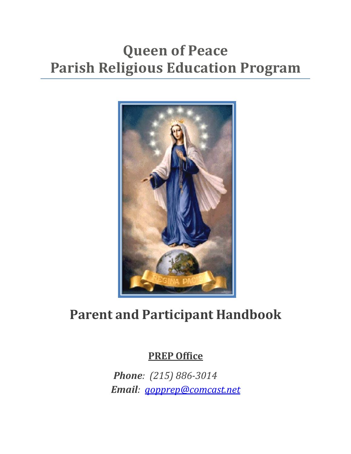# **Queen of Peace Parish Religious Education Program**



# **Parent and Participant Handbook**

#### **PREP Office**

*Phone: (215) 886-3014 Email: [qopprep@comcast.net](mailto:qopprep@comcast.net)*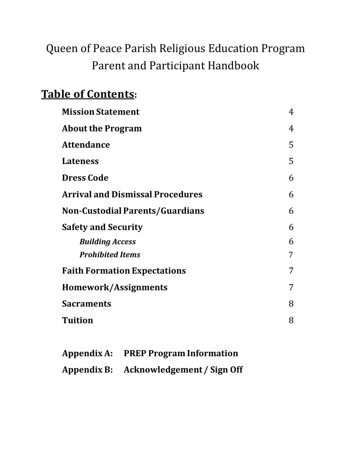# Queen of Peace Parish Religious Education Program Parent and Participant Handbook

### **Table of Contents:**

| <b>Mission Statement</b>                | $\overline{4}$ |
|-----------------------------------------|----------------|
| <b>About the Program</b>                | 4              |
| <b>Attendance</b>                       | 5              |
| <b>Lateness</b>                         | 5              |
| <b>Dress Code</b>                       | 6              |
| <b>Arrival and Dismissal Procedures</b> | 6              |
| <b>Non-Custodial Parents/Guardians</b>  | 6              |
| <b>Safety and Security</b>              | 6              |
| <b>Building Access</b>                  | 6              |
| <b>Prohibited Items</b>                 | 7              |
| <b>Faith Formation Expectations</b>     | 7              |
| <b>Homework/Assignments</b>             | 7              |
| <b>Sacraments</b>                       | 8              |
| <b>Tuition</b>                          | 8              |

| Appendix A: PREP Program Information   |
|----------------------------------------|
| Appendix B: Acknowledgement / Sign Off |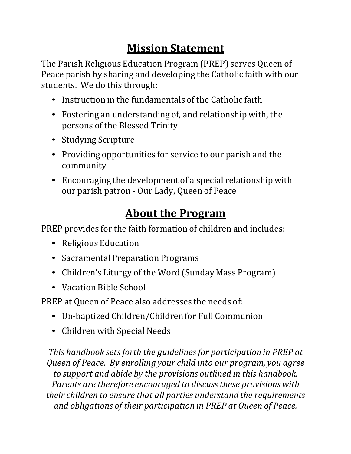## **Mission Statement**

The Parish Religious Education Program (PREP) serves Queen of Peace parish by sharing and developing the Catholic faith with our students. We do this through:

- Instruction in the fundamentals of the Catholic faith
- Fostering an understanding of, and relationship with, the persons of the Blessed Trinity
- Studying Scripture
- Providing opportunities for service to our parish and the community
- Encouraging the development of a special relationship with our parish patron - Our Lady, Queen of Peace

### **About the Program**

PREP provides for the faith formation of children and includes:

- Religious Education
- Sacramental Preparation Programs
- Children's Liturgy of the Word (Sunday Mass Program)
- Vacation Bible School

PREP at Queen of Peace also addresses the needs of:

- Un-baptized Children/Children for Full Communion
- Children with Special Needs

*This handbook sets forth the guidelinesfor participation in PREP at Queen of Peace. By enrolling your child into our program, you agree to support and abide by the provisions outlined in this handbook. Parents are therefore encouraged to discussthese provisions with their children to ensure that all parties understand the requirements and obligations of their participation in PREP at Queen of Peace.*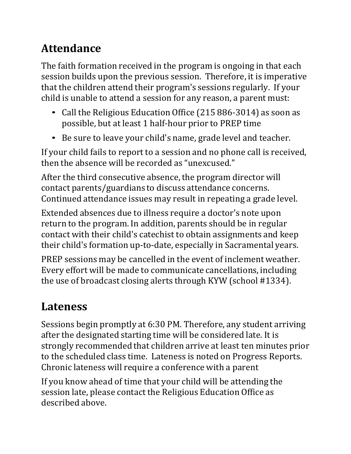# **Attendance**

The faith formation received in the program is ongoing in that each session builds upon the previous session. Therefore, it is imperative that the children attend their program's sessions regularly. If your child is unable to attend a session for any reason, a parent must:

- Call the Religious Education Office (215 886-3014) as soon as possible, but at least 1 half-hour prior to PREP time
- Be sure to leave your child's name, grade level and teacher.

If your child fails to report to a session and no phone call is received, then the absence will be recorded as "unexcused."

After the third consecutive absence, the program director will contact parents/guardians to discuss attendance concerns. Continued attendance issues may result in repeating a grade level.

Extended absences due to illness require a doctor's note upon return to the program. In addition, parents should be in regular contact with their child's catechist to obtain assignments and keep their child's formation up-to-date, especially in Sacramental years.

PREP sessions may be cancelled in the event of inclement weather. Every effort will be made to communicate cancellations, including the use of broadcast closing alerts through KYW (school #1334).

# **Lateness**

Sessions begin promptly at 6:30 PM. Therefore, any student arriving after the designated starting time will be considered late. It is strongly recommended that children arrive at least ten minutes prior to the scheduled class time. Lateness is noted on Progress Reports. Chronic lateness will require a conference with a parent

If you know ahead of time that your child will be attending the session late, please contact the Religious Education Office as described above.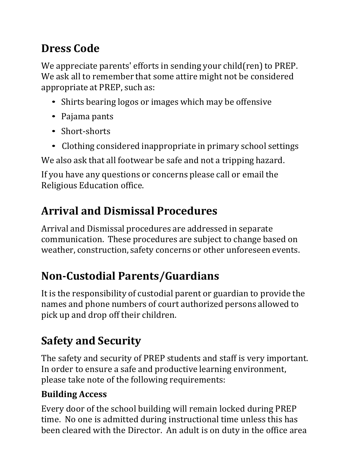# **Dress Code**

We appreciate parents' efforts in sending your child(ren) to PREP. We ask all to remember that some attire might not be considered appropriate at PREP, such as:

- Shirts bearing logos or images which may be offensive
- Pajama pants
- Short-shorts
- Clothing considered inappropriate in primary school settings

We also ask that all footwear be safe and not a tripping hazard.

If you have any questions or concerns please call or email the Religious Education office.

# **Arrival and Dismissal Procedures**

Arrival and Dismissal procedures are addressed in separate communication. These procedures are subject to change based on weather, construction, safety concerns or other unforeseen events.

# **Non-Custodial Parents/Guardians**

It is the responsibility of custodial parent or guardian to provide the names and phone numbers of court authorized persons allowed to pick up and drop off their children.

# **Safety and Security**

The safety and security of PREP students and staff is very important. In order to ensure a safe and productive learning environment, please take note of the following requirements:

#### **Building Access**

Every door of the school building will remain locked during PREP time. No one is admitted during instructional time unless this has been cleared with the Director. An adult is on duty in the office area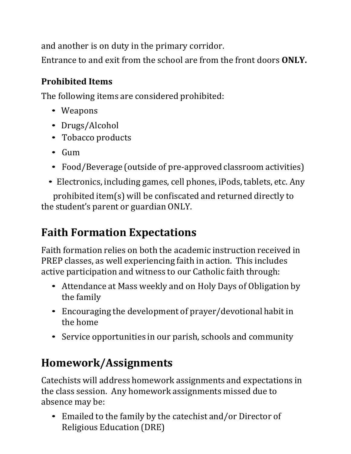and another is on duty in the primary corridor.

Entrance to and exit from the school are from the front doors **ONLY.**

#### **Prohibited Items**

The following items are considered prohibited:

- Weapons
- Drugs/Alcohol
- Tobacco products
- Gum
- Food/Beverage (outside of pre-approved classroom activities)
- Electronics, including games, cell phones, iPods, tablets, etc. Any

prohibited item(s) will be confiscated and returned directly to the student's parent or guardian ONLY.

### **Faith Formation Expectations**

Faith formation relies on both the academic instruction received in PREP classes, as well experiencing faith in action. This includes active participation and witness to our Catholic faith through:

- Attendance at Mass weekly and on Holy Days of Obligation by the family
- Encouraging the development of prayer/devotional habit in the home
- Service opportunities in our parish, schools and community

### **Homework/Assignments**

Catechists will address homework assignments and expectations in the class session. Any homework assignments missed due to absence may be:

• Emailed to the family by the catechist and/or Director of Religious Education (DRE)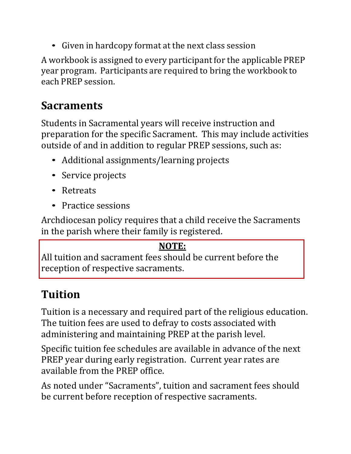• Given in hardcopy format at the next class session

A workbook is assigned to every participant for the applicable PREP year program. Participants are required to bring the workbook to each PREP session.

### **Sacraments**

Students in Sacramental years will receive instruction and preparation for the specific Sacrament. This may include activities outside of and in addition to regular PREP sessions, such as:

- Additional assignments/learning projects
- Service projects
- Retreats
- Practice sessions

Archdiocesan policy requires that a child receive the Sacraments in the parish where their family is registered.

#### **NOTE:**

All tuition and sacrament fees should be current before the reception of respective sacraments.

# **Tuition**

Tuition is a necessary and required part of the religious education. The tuition fees are used to defray to costs associated with administering and maintaining PREP at the parish level.

Specific tuition fee schedules are available in advance of the next PREP year during early registration. Current year rates are available from the PREP office.

As noted under "Sacraments", tuition and sacrament fees should be current before reception of respective sacraments.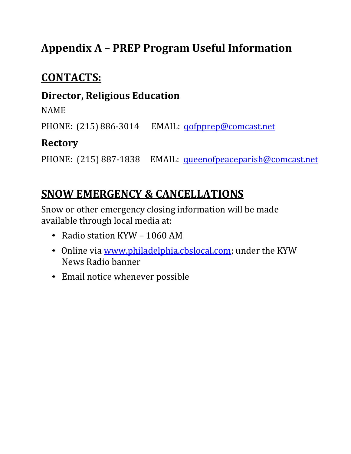### **Appendix A – PREP Program Useful Information**

### **CONTACTS:**

#### **Director, Religious Education**

NAME

PHONE: (215) 886-3014 EMAIL: gofpprep@comcast.net

#### **Rectory**

PHONE: (215) 887-1838 EMAIL: [queenofpeaceparish@comcast.net](mailto:queenofpeaceparish@comcast.net)

### **SNOW EMERGENCY & CANCELLATIONS**

Snow or other emergency closing information will be made available through local media at:

- Radio station KYW <sup>1060</sup> AM
- Online via [www.philadelphia.cbslocal.com;](http://www.philadelphia.cbslocal.com/) under the KYW News Radio banner
- Email notice whenever possible